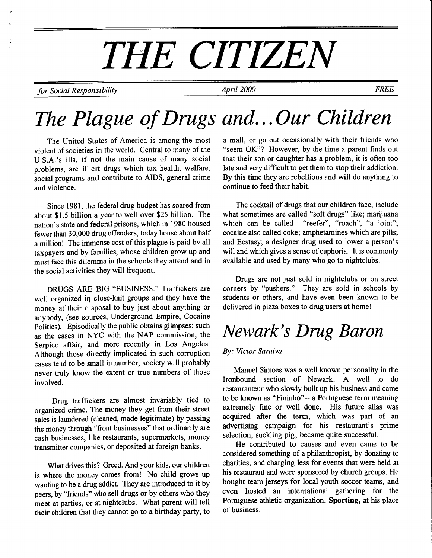# THE CITIZEN

for Social Responsibility and the April 2000 April 2000 FREE

# The Plague of Drugs and...Our Children

The United States of America is among the most violent of societies in the world. Central to many of the U.S.A.'s ills, if not the main cause of many social problems, are illicit drugs which tax health, welfare, social programs and contribute to AIDS, general crime and violence.

Since 1981, the federal drug budget has soared from about \$1.5 billion a year to well over \$25 billion. The nation's state and federal prisons, which in 1980 housed fewer than 30,000 drug offenders, today house about half a million! The immense cost of this plague is paid by all taxpayers and by families, whose children grow up and must face this dilemma in the schools they attend and in the social activities they will frequent.

DRUGS ARE BIG "BUSINESS." Traffickers are well organized in close-knit groups and they have the money at'their disposal to buy just about anything or anybody, (see sources, Underground Empire, Cocaine Politics). Episodically the public obtains glimpses; such as the cases in NYC with the NAP commission, the Serpico affair, and more recently in Los Angeles. Although those directly implicated in such corruption cases tend to be small in number, society will probably never truly know the extent or true numbers of those involved.

Drug traffickers are almost invariably tied to organized crime. The money they get from their street sales is laundered (cleaned, made legitimate) by passing the money through "front businesses" that ordinarily are cash businesses, like restaurants, supermarkets, money transmitter companies, or deposited at foreign banks.

What drives this? Greed. And your kids, our children is where the money comes from! No child grows up wanting to be a drug addict. They are introduced to it by peers, by "friends" who sell drugs or by others who they meet at parties, or at nightclubs. What parent will tell their children that they cannot go to a birthday party, to a mall, or go out occasionally with their friends who "seem OK"? However, by the time a parent finds out that their son or daughter has a problem, it is often too late and very difficult to get them to stop their addiction. By this time they are rebellious and will do anything to continue to feed their habit.

The cocktail of drugs that our children face, include what sometimes are called "soft drugs" like; marijuana which can be called --"reefer", "roach", "a joint"; cocaine also called coke; amphetamines which are pills; and Ecstasy; a designer drug used to lower a person's will and which gives a sense of euphoria. It is commonly available and used by many who go to nightclubs.

Drugs are not just sold in nightclubs or on street corners by "pushers." They are sold in schools by students or others, and have even been known to be delivered in pizza boxes to drug users at home!

# Newark's Drug Baron

#### By: Victor Saraiva

Manuel Simoes was a well known personality in the Ironbound section of Newark. A well to do restauranteur who slowly built up his business and came to be known as "Fininho"-- a Portuguese term meaning extremely fine or well done. His future alias was acquired after the term, which was part of an advertising campaign for his restaurant's prime selection; suckling pig, became quite successful.

He contributed to causes and even came to be considered something of a philanthropist, by donating to charities, and charging less for events that were held at his restaurant and were sponsored by church groups. He bought team jerseys for local youth soccer teams, and even hosted an international gathering for the Portuguese athletic organization, Sporting, at his place of business.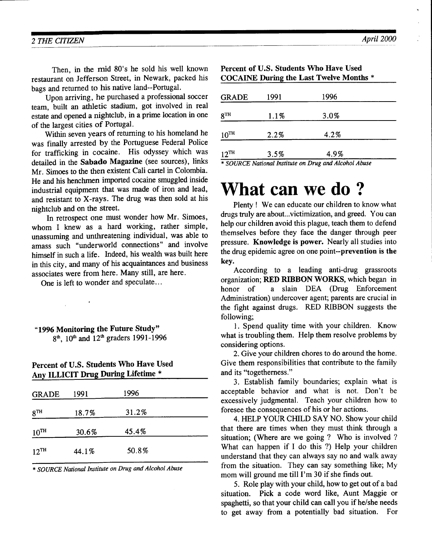Then, in the mid 80's he sold his well known restaurant on Jefferson Street, in Newark, packed his bags and returned to his native land--Portugal.

Upon arriving, he purchased a professional soccer team. built an athletic stadium, got involved in real estate and opened a nighrclub, in a prime location in one of the largest cities of Portugal.

Within seven years of returning to his homeland he was finally arrested by the Portuguese Federal Police for trafficking in cocaine. His odyssey which was detailed in the Sabado Magazine (see sources), links Mr. Simoes to the then existent Cali cartel in Colombia. He and his henchmen imported cocaine smuggled inside industrial equipment that was made of iron and lead, and resistant to X-rays. The drug was then sold at his nightclub and on the street.

In retrospect one must wonder how Mr. Simoes, whom I knew as a hard working, rather simple, unassuming and unthreatening individual, was able to amass such "underworld connections" and involve himself in such a life. Indeed, his wealth was built here in this city, and many of his acquaintances and business associates were from here. Many still, are here.

One is left to wonder and speculate...

"1996 Monitoring the Future Study"  $8<sup>th</sup>$ ,  $10<sup>th</sup>$  and  $12<sup>th</sup>$  graders 1991-1996

 $\mathcal{L}$ 

#### Percent of U.S. Students Who Have Used Anv ILLICIT Drug During Lifetime \*

| <b>GRADE</b>    | 1991  | 1996  |  |
|-----------------|-------|-------|--|
| 8 <sup>TH</sup> | 18.7% | 31.2% |  |
| $10^{TH}$       | 30.6% | 45.4% |  |
| $12^{TH}$       | 44.1% | 50.8% |  |

\* SOURCE Natiorcl Institute on Drug and Alcohol Abuse

| GRADE              | 1991 | 1996 |  |
|--------------------|------|------|--|
| 8™                 | 1.1% | 3.0% |  |
| $10^{TH}$          | 2.2% | 4.2% |  |
| $12$ <sup>TH</sup> | 3.5% | 4.9% |  |

#### \* SOURCE National Iwtitute on Drug and Alcohol Abuse

# What can we do ?

Plenty ! We can educate our children to know what drugs truly are about...victimization, and greed. You can help our children avoid this plague, teach them to defend themselves before they face the danger through peer pressure. Knowledge is power. Nearly all studies into the drug epidemic agree on one point--prevention is the key.

According to a leading anti-drug grassroots organization; RED RIBBON WORKS, which began in honor of a slain DEA (Drug Enforcement Administration) undercover agent; parents are crucial in the fight against drugs. RED RIBBON suggests the following;

l. Spend quality time with your children. Know what is troubling them. Help them resolve problems by considering options.

2. Give your children chores to do around the home. Give them responsibilities that contribute to the family and its "togetherness."

3. Establish family boundaries; explain what is acceptable behavior and what is not. Don't be excessively judgmental. Teach your children how to foresee the consequences of his or her actions.

4. FIELP YOUR CHILD SAY NO. Show your child that there are times when they must think through a situation; (Where are we going ? Who is involved ? What can happen if I do this ?) Help your children understand that they can always say no and walk away from the situation. They can say something like; My mom will ground me till I'm 30 if she finds out.

5. Role play with your child, how to get out of a bad situation. Pick a code word like, Aunt Maggie or spaghetti, so that your child can call you if he/she needs to get away from a potentially bad situation. For

#### Percent of U.S. Students Who Have Used COCAINE During the Last Twelve Months \*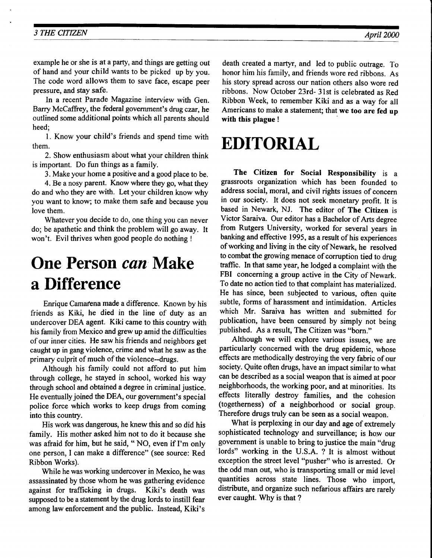#### 3 THE CITIZEN April 2000

example he or she is at a party, and things are getting out of hand and your child wants to be picked up by you. The code word allows them to save face, escape peer pressure, and stay safe.

In a recent Parade Magazine interview with Gen. Barry McCaffrey, the federal government's drug czar, he outlined some additional points which all parents should heed;

l. Know your child's friends and spend time with them.

2. Show enthusiasm about what your children think is important. Do fun things as a family.

3. Make your home a positive and a good place to be.

4.Be a nosy parent. Know where they go, what they do and who they are with. Let your children know why you want to know; to make them safe and because you love them.

Whatever you decide to do, one thing you can never do; be apathetic and think the problem will go away. It won't. Evil thrives when good people do nothing !

# One Person can Make a Difference

Enrique Camafena made a difference. Known by his friends as Kiki, he died in the line of duty as an undercover DEA agent. Kiki came to this country with his family from Mexico and gew up amid the difficulties of our inner cities. He saw his friends and neighbors get caught up in gang violence, crime and what he saw as the primary culprit of much of the violence--drugs.

Although his family could not afford to put him through college, he stayed in school, worked his way through school and obtained a degree in criminal justice. He eventually joined the DEA, our government's special police force which works to keep drugs from coming into this country.

His work was dangerous, he knew this and so did his family. His mother asked him not to do it because she was afraid for him, but he said, " NO, even if I'm only one person, Ican make a difference" (see source: Red Ribbon Works).

While he was working undercover in Mexico, he was assassinated by those whom he was gathering evidence against for trafficking in drugs. Kiki's death was supposed to be a statement by the drug lords to instill fear among law enforcement and the public. lnstead, Kiki's death created a martyr, and led to public outrage. To honor him his family, and friends wore red ribbons. As his story spread across our nation others also wore red ribbons. Now October 23rd- 3lst is celebrated as Red Ribbon Week, to remember Kiki and as a way for all Americans to make a statement; that we too are fed up with this plague !

# EDITORIAL

The Citizen for Social Responsibility is a grassroots organization which has been founded to address social, moral, and civil rights issues of concern in our society. It does not seek monetary profit. It is based in Newark, NJ. The editor of The Citizen is Victor Saraiva. Our editor has a Bachelor of Arts degree from Rutgers University, worked for several years in banking and effective 1995, as a result of his experiences of working and living in the city of Newark, he resolved to combat the growing menace of corruption tied to drug traffic. In that same year, he lodged a complaint with the FBI concerning a group active in the City of Newark. To date no action tied to that complaint has materialized. He has since, been subjected to various, often quite subtle, forms of harassment and intimidation. Articles which Mr. Saraiva has written and submitted for publication, have been censured by simply not being published. As a result, The Citizen was "born."

Although we will explore various issues, we are particularly concerned with the drug epidemic, whose effects are methodically destroying the very fabric of our society. Quite often drugs, have an impact similar to what can be described as a social weapon that is aimed at poor neighborhoods, the working poor, and at minorities. Its effects literally destroy families, and the cohesion (togetherness) of a neighborhood or social group. Therefore drugs truly can be seen as a social weapon.

What is perplexing in our day and age of extremely sophisticated technology and surveillance; is how our government is unable to bring to justice the main "drug 'lords" working in the U.S.A. ? It is almost without exception the street level "pusher" who is arrested. Or the odd man out, who is transporting small or mid level quantities across state lines. Those who import, distribute, and organize such nefarious affairs are rarely ever caught. Why is that ?